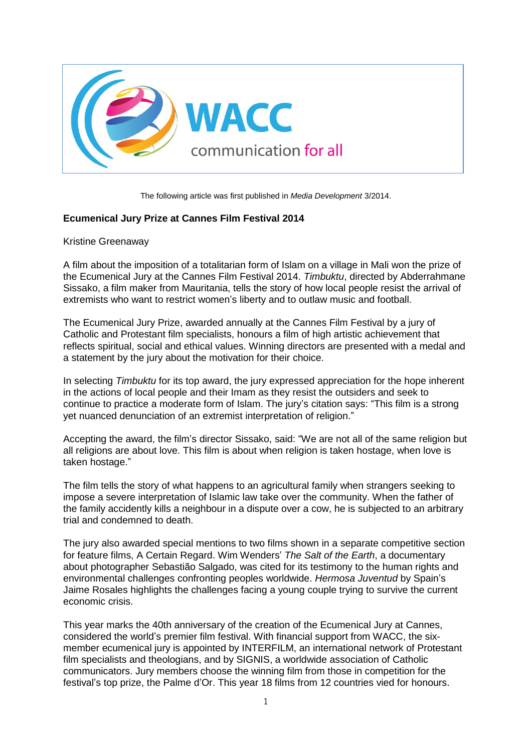

The following article was first published in *Media Development* 3/2014.

## **Ecumenical Jury Prize at Cannes Film Festival 2014**

Kristine Greenaway

A film about the imposition of a totalitarian form of Islam on a village in Mali won the prize of the Ecumenical Jury at the Cannes Film Festival 2014. *Timbuktu*, directed by Abderrahmane Sissako, a film maker from Mauritania, tells the story of how local people resist the arrival of extremists who want to restrict women's liberty and to outlaw music and football.

The Ecumenical Jury Prize, awarded annually at the Cannes Film Festival by a jury of Catholic and Protestant film specialists, honours a film of high artistic achievement that reflects spiritual, social and ethical values. Winning directors are presented with a medal and a statement by the jury about the motivation for their choice.

In selecting *Timbuktu* for its top award, the jury expressed appreciation for the hope inherent in the actions of local people and their Imam as they resist the outsiders and seek to continue to practice a moderate form of Islam. The jury's citation says: "This film is a strong yet nuanced denunciation of an extremist interpretation of religion."

Accepting the award, the film's director Sissako, said: "We are not all of the same religion but all religions are about love. This film is about when religion is taken hostage, when love is taken hostage."

The film tells the story of what happens to an agricultural family when strangers seeking to impose a severe interpretation of Islamic law take over the community. When the father of the family accidently kills a neighbour in a dispute over a cow, he is subjected to an arbitrary trial and condemned to death.

The jury also awarded special mentions to two films shown in a separate competitive section for feature films, A Certain Regard. Wim Wenders' *The Salt of the Earth*, a documentary about photographer Sebastião Salgado, was cited for its testimony to the human rights and environmental challenges confronting peoples worldwide. *Hermosa Juventud* by Spain's Jaime Rosales highlights the challenges facing a young couple trying to survive the current economic crisis.

This year marks the 40th anniversary of the creation of the Ecumenical Jury at Cannes, considered the world's premier film festival. With financial support from WACC, the sixmember ecumenical jury is appointed by INTERFILM, an international network of Protestant film specialists and theologians, and by SIGNIS, a worldwide association of Catholic communicators. Jury members choose the winning film from those in competition for the festival's top prize, the Palme d'Or. This year 18 films from 12 countries vied for honours.